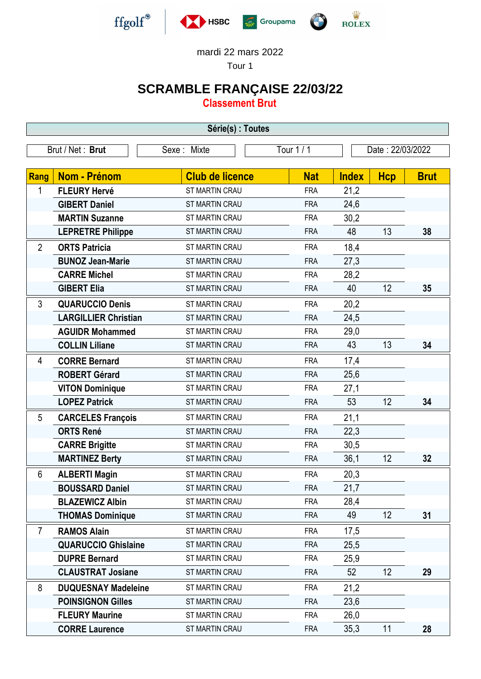

## mardi 22 mars 2022

Tour 1

## **SCRAMBLE FRANÇAISE 22/03/22**

**Classement Brut**

| Série(s) : Toutes |                             |                        |            |                  |            |             |  |  |  |
|-------------------|-----------------------------|------------------------|------------|------------------|------------|-------------|--|--|--|
|                   | Brut / Net: Brut            | Sexe: Mixte            | Tour 1 / 1 | Date: 22/03/2022 |            |             |  |  |  |
|                   |                             |                        |            |                  |            |             |  |  |  |
| Rang              | <b>Nom - Prénom</b>         | <b>Club de licence</b> | <b>Nat</b> | <b>Index</b>     | <b>Hcp</b> | <b>Brut</b> |  |  |  |
| 1                 | <b>FLEURY Hervé</b>         | ST MARTIN CRAU         | <b>FRA</b> | 21,2             |            |             |  |  |  |
|                   | <b>GIBERT Daniel</b>        | ST MARTIN CRAU         | <b>FRA</b> | 24,6             |            |             |  |  |  |
|                   | <b>MARTIN Suzanne</b>       | ST MARTIN CRAU         | <b>FRA</b> | 30,2             |            |             |  |  |  |
|                   | <b>LEPRETRE Philippe</b>    | ST MARTIN CRAU         | <b>FRA</b> | 48               | 13         | 38          |  |  |  |
| $\overline{2}$    | <b>ORTS Patricia</b>        | <b>ST MARTIN CRAU</b>  | <b>FRA</b> | 18,4             |            |             |  |  |  |
|                   | <b>BUNOZ Jean-Marie</b>     | <b>ST MARTIN CRAU</b>  | <b>FRA</b> | 27,3             |            |             |  |  |  |
|                   | <b>CARRE Michel</b>         | ST MARTIN CRAU         | <b>FRA</b> | 28,2             |            |             |  |  |  |
|                   | <b>GIBERT Elia</b>          | <b>ST MARTIN CRAU</b>  | <b>FRA</b> | 40               | 12         | 35          |  |  |  |
| 3                 | <b>QUARUCCIO Denis</b>      | ST MARTIN CRAU         | <b>FRA</b> | 20,2             |            |             |  |  |  |
|                   | <b>LARGILLIER Christian</b> | ST MARTIN CRAU         | <b>FRA</b> | 24,5             |            |             |  |  |  |
|                   | <b>AGUIDR Mohammed</b>      | ST MARTIN CRAU         | <b>FRA</b> | 29,0             |            |             |  |  |  |
|                   | <b>COLLIN Liliane</b>       | ST MARTIN CRAU         | <b>FRA</b> | 43               | 13         | 34          |  |  |  |
| 4                 | <b>CORRE Bernard</b>        | ST MARTIN CRAU         | <b>FRA</b> | 17,4             |            |             |  |  |  |
|                   | <b>ROBERT Gérard</b>        | <b>ST MARTIN CRAU</b>  | <b>FRA</b> | 25,6             |            |             |  |  |  |
|                   | <b>VITON Dominique</b>      | ST MARTIN CRAU         | <b>FRA</b> | 27,1             |            |             |  |  |  |
|                   | <b>LOPEZ Patrick</b>        | ST MARTIN CRAU         | <b>FRA</b> | 53               | 12         | 34          |  |  |  |
| 5                 | <b>CARCELES François</b>    | ST MARTIN CRAU         | <b>FRA</b> | 21,1             |            |             |  |  |  |
|                   | <b>ORTS René</b>            | ST MARTIN CRAU         | <b>FRA</b> | 22,3             |            |             |  |  |  |
|                   | <b>CARRE Brigitte</b>       | ST MARTIN CRAU         | <b>FRA</b> | 30,5             |            |             |  |  |  |
|                   | <b>MARTINEZ Berty</b>       | ST MARTIN CRAU         | <b>FRA</b> | 36,1             | 12         | 32          |  |  |  |
| 6                 | <b>ALBERTI Magin</b>        | <b>ST MARTIN CRAU</b>  | <b>FRA</b> | 20,3             |            |             |  |  |  |
|                   | <b>BOUSSARD Daniel</b>      | <b>ST MARTIN CRAU</b>  | <b>FRA</b> | 21,7             |            |             |  |  |  |
|                   | <b>BLAZEWICZ Albin</b>      | ST MARTIN CRAU         | <b>FRA</b> | 28,4             |            |             |  |  |  |
|                   | <b>THOMAS Dominique</b>     | ST MARTIN CRAU         | <b>FRA</b> | 49               | 12         | 31          |  |  |  |
| $\overline{7}$    | <b>RAMOS Alain</b>          | ST MARTIN CRAU         | <b>FRA</b> | 17,5             |            |             |  |  |  |
|                   | <b>QUARUCCIO Ghislaine</b>  | ST MARTIN CRAU         | <b>FRA</b> | 25,5             |            |             |  |  |  |
|                   | <b>DUPRE Bernard</b>        | ST MARTIN CRAU         | <b>FRA</b> | 25,9             |            |             |  |  |  |
|                   | <b>CLAUSTRAT Josiane</b>    | ST MARTIN CRAU         | <b>FRA</b> | 52               | 12         | 29          |  |  |  |
| 8                 | <b>DUQUESNAY Madeleine</b>  | ST MARTIN CRAU         | <b>FRA</b> | 21,2             |            |             |  |  |  |
|                   | <b>POINSIGNON Gilles</b>    | ST MARTIN CRAU         | <b>FRA</b> | 23,6             |            |             |  |  |  |
|                   | <b>FLEURY Maurine</b>       | ST MARTIN CRAU         | <b>FRA</b> | 26,0             |            |             |  |  |  |
|                   | <b>CORRE Laurence</b>       | <b>ST MARTIN CRAU</b>  | <b>FRA</b> | 35,3             | 11         | 28          |  |  |  |